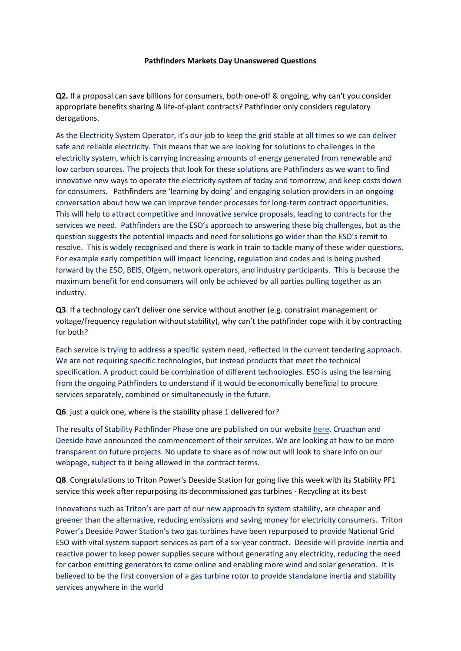## **Pathfinders Markets Day Unanswered Questions**

**Q2.** If a proposal can save billions for consumers, both one-off & ongoing, why can't you consider appropriate benefits sharing & life-of-plant contracts? Pathfinder only considers regulatory derogations.

As the Electricity System Operator, it's our job to keep the grid stable at all times so we can deliver safe and reliable electricity. This means that we are looking for solutions to challenges in the electricity system, which is carrying increasing amounts of energy generated from renewable and low carbon sources. The projects that look for these solutions are Pathfinders as we want to find innovative new ways to operate the electricity system of today and tomorrow, and keep costs down for consumers. Pathfinders are 'learning by doing' and engaging solution providers in an ongoing conversation about how we can improve tender processes for long-term contract opportunities. This will help to attract competitive and innovative service proposals, leading to contracts for the services we need. Pathfinders are the ESO's approach to answering these big challenges, but as the question suggests the potential impacts and need for solutions go wider than the ESO's remit to resolve. This is widely recognised and there is work in train to tackle many of these wider questions. For example early competition will impact licencing, regulation and codes and is being pushed forward by the ESO, BEIS, Ofgem, network operators, and industry participants. This is because the maximum benefit for end consumers will only be achieved by all parties pulling together as an industry.

**Q3**. If a technology can't deliver one service without another (e.g. constraint management or voltage/frequency regulation without stability), why can't the pathfinder cope with it by contracting for both?

Each service is trying to address a specific system need, reflected in the current tendering approach. We are not requiring specific technologies, but instead products that meet the technical specification. A product could be combination of different technologies. ESO is using the learning from the ongoing Pathfinders to understand if it would be economically beneficial to procure services separately, combined or simultaneously in the future.

## **Q6**. just a quick one, where is the stability phase 1 delivered for?

The results of Stability Pathfinder Phase one are published on our websit[e here.](https://www.nationalgrideso.com/document/162091/download) Cruachan and Deeside have announced the commencement of their services. We are looking at how to be more transparent on future projects. No update to share as of now but will look to share info on our webpage, subject to it being allowed in the contract terms.

**Q8**. Congratulations to Triton Power's Deeside Station for going live this week with its Stability PF1 service this week after repurposing its decommissioned gas turbines - Recycling at its best

Innovations such as Triton's are part of our new approach to system stability, are cheaper and greener than the alternative, reducing emissions and saving money for electricity consumers. Triton Power's Deeside Power Station's two gas turbines have been repurposed to provide National Grid ESO with vital system support services as part of a six-year contract. Deeside will provide inertia and reactive power to keep power supplies secure without generating any electricity, reducing the need for carbon emitting generators to come online and enabling more wind and solar generation. It is believed to be the first conversion of a gas turbine rotor to provide standalone inertia and stability services anywhere in the world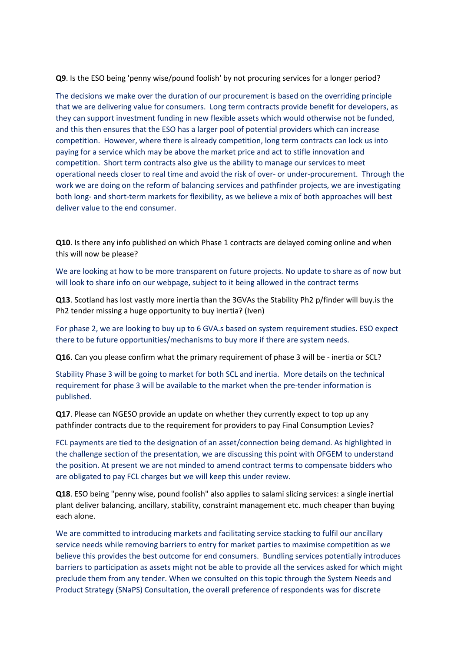**Q9**. Is the ESO being 'penny wise/pound foolish' by not procuring services for a longer period?

The decisions we make over the duration of our procurement is based on the overriding principle that we are delivering value for consumers. Long term contracts provide benefit for developers, as they can support investment funding in new flexible assets which would otherwise not be funded, and this then ensures that the ESO has a larger pool of potential providers which can increase competition. However, where there is already competition, long term contracts can lock us into paying for a service which may be above the market price and act to stifle innovation and competition. Short term contracts also give us the ability to manage our services to meet operational needs closer to real time and avoid the risk of over- or under-procurement. Through the work we are doing on the reform of balancing services and pathfinder projects, we are investigating both long- and short-term markets for flexibility, as we believe a mix of both approaches will best deliver value to the end consumer.

**Q10**. Is there any info published on which Phase 1 contracts are delayed coming online and when this will now be please?

We are looking at how to be more transparent on future projects. No update to share as of now but will look to share info on our webpage, subject to it being allowed in the contract terms

**Q13**. Scotland has lost vastly more inertia than the 3GVAs the Stability Ph2 p/finder will buy.is the Ph2 tender missing a huge opportunity to buy inertia? (Iven)

For phase 2, we are looking to buy up to 6 GVA.s based on system requirement studies. ESO expect there to be future opportunities/mechanisms to buy more if there are system needs.

**Q16**. Can you please confirm what the primary requirement of phase 3 will be - inertia or SCL?

Stability Phase 3 will be going to market for both SCL and inertia. More details on the technical requirement for phase 3 will be available to the market when the pre-tender information is published.

**Q17**. Please can NGESO provide an update on whether they currently expect to top up any pathfinder contracts due to the requirement for providers to pay Final Consumption Levies?

FCL payments are tied to the designation of an asset/connection being demand. As highlighted in the challenge section of the presentation, we are discussing this point with OFGEM to understand the position. At present we are not minded to amend contract terms to compensate bidders who are obligated to pay FCL charges but we will keep this under review.

**Q18**. ESO being "penny wise, pound foolish" also applies to salami slicing services: a single inertial plant deliver balancing, ancillary, stability, constraint management etc. much cheaper than buying each alone.

We are committed to introducing markets and facilitating service stacking to fulfil our ancillary service needs while removing barriers to entry for market parties to maximise competition as we believe this provides the best outcome for end consumers. Bundling services potentially introduces barriers to participation as assets might not be able to provide all the services asked for which might preclude them from any tender. When we consulted on this topic through the System Needs and Product Strategy (SNaPS) Consultation, the overall preference of respondents was for discrete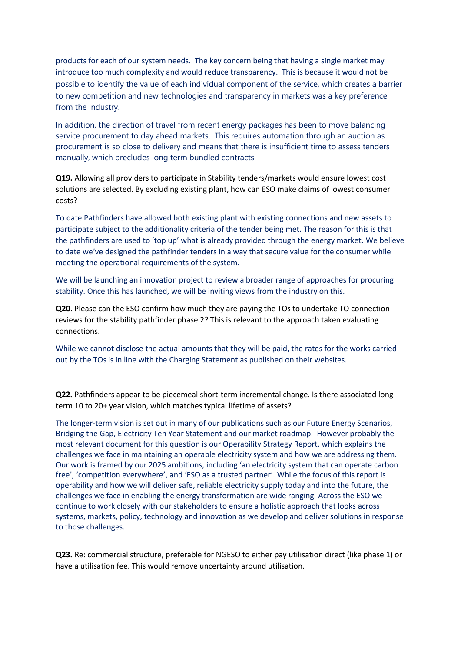products for each of our system needs. The key concern being that having a single market may introduce too much complexity and would reduce transparency. This is because it would not be possible to identify the value of each individual component of the service, which creates a barrier to new competition and new technologies and transparency in markets was a key preference from the industry.

In addition, the direction of travel from recent energy packages has been to move balancing service procurement to day ahead markets. This requires automation through an auction as procurement is so close to delivery and means that there is insufficient time to assess tenders manually, which precludes long term bundled contracts.

**Q19.** Allowing all providers to participate in Stability tenders/markets would ensure lowest cost solutions are selected. By excluding existing plant, how can ESO make claims of lowest consumer costs?

To date Pathfinders have allowed both existing plant with existing connections and new assets to participate subject to the additionality criteria of the tender being met. The reason for this is that the pathfinders are used to 'top up' what is already provided through the energy market. We believe to date we've designed the pathfinder tenders in a way that secure value for the consumer while meeting the operational requirements of the system.

We will be launching an innovation project to review a broader range of approaches for procuring stability. Once this has launched, we will be inviting views from the industry on this.

**Q20**. Please can the ESO confirm how much they are paying the TOs to undertake TO connection reviews for the stability pathfinder phase 2? This is relevant to the approach taken evaluating connections.

While we cannot disclose the actual amounts that they will be paid, the rates for the works carried out by the TOs is in line with the Charging Statement as published on their websites.

**Q22.** Pathfinders appear to be piecemeal short-term incremental change. Is there associated long term 10 to 20+ year vision, which matches typical lifetime of assets?

The longer-term vision is set out in many of our publications such as our Future Energy Scenarios, Bridging the Gap, Electricity Ten Year Statement and our market roadmap. However probably the most relevant document for this question is our Operability Strategy Report, which explains the challenges we face in maintaining an operable electricity system and how we are addressing them. Our work is framed by our 2025 ambitions, including 'an electricity system that can operate carbon free', 'competition everywhere', and 'ESO as a trusted partner'. While the focus of this report is operability and how we will deliver safe, reliable electricity supply today and into the future, the challenges we face in enabling the energy transformation are wide ranging. Across the ESO we continue to work closely with our stakeholders to ensure a holistic approach that looks across systems, markets, policy, technology and innovation as we develop and deliver solutions in response to those challenges.

**Q23.** Re: commercial structure, preferable for NGESO to either pay utilisation direct (like phase 1) or have a utilisation fee. This would remove uncertainty around utilisation.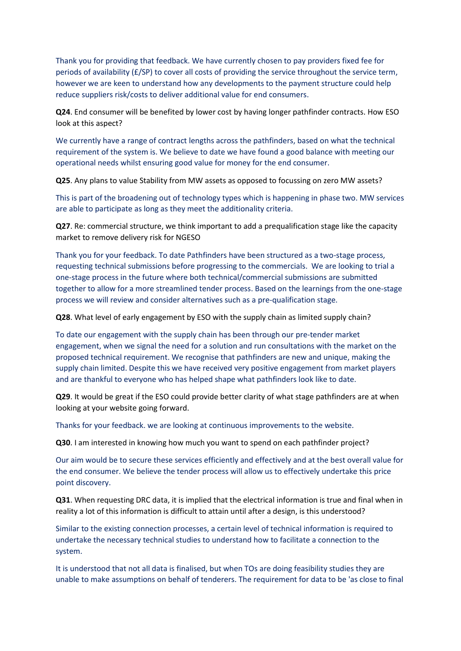Thank you for providing that feedback. We have currently chosen to pay providers fixed fee for periods of availability (£/SP) to cover all costs of providing the service throughout the service term, however we are keen to understand how any developments to the payment structure could help reduce suppliers risk/costs to deliver additional value for end consumers.

**Q24**. End consumer will be benefited by lower cost by having longer pathfinder contracts. How ESO look at this aspect?

We currently have a range of contract lengths across the pathfinders, based on what the technical requirement of the system is. We believe to date we have found a good balance with meeting our operational needs whilst ensuring good value for money for the end consumer.

**Q25**. Any plans to value Stability from MW assets as opposed to focussing on zero MW assets?

This is part of the broadening out of technology types which is happening in phase two. MW services are able to participate as long as they meet the additionality criteria.

**Q27**. Re: commercial structure, we think important to add a prequalification stage like the capacity market to remove delivery risk for NGESO

Thank you for your feedback. To date Pathfinders have been structured as a two-stage process, requesting technical submissions before progressing to the commercials. We are looking to trial a one-stage process in the future where both technical/commercial submissions are submitted together to allow for a more streamlined tender process. Based on the learnings from the one-stage process we will review and consider alternatives such as a pre-qualification stage.

**Q28**. What level of early engagement by ESO with the supply chain as limited supply chain?

To date our engagement with the supply chain has been through our pre-tender market engagement, when we signal the need for a solution and run consultations with the market on the proposed technical requirement. We recognise that pathfinders are new and unique, making the supply chain limited. Despite this we have received very positive engagement from market players and are thankful to everyone who has helped shape what pathfinders look like to date.

**Q29**. It would be great if the ESO could provide better clarity of what stage pathfinders are at when looking at your website going forward.

Thanks for your feedback. we are looking at continuous improvements to the website.

**Q30**. I am interested in knowing how much you want to spend on each pathfinder project?

Our aim would be to secure these services efficiently and effectively and at the best overall value for the end consumer. We believe the tender process will allow us to effectively undertake this price point discovery.

**Q31**. When requesting DRC data, it is implied that the electrical information is true and final when in reality a lot of this information is difficult to attain until after a design, is this understood?

Similar to the existing connection processes, a certain level of technical information is required to undertake the necessary technical studies to understand how to facilitate a connection to the system.

It is understood that not all data is finalised, but when TOs are doing feasibility studies they are unable to make assumptions on behalf of tenderers. The requirement for data to be 'as close to final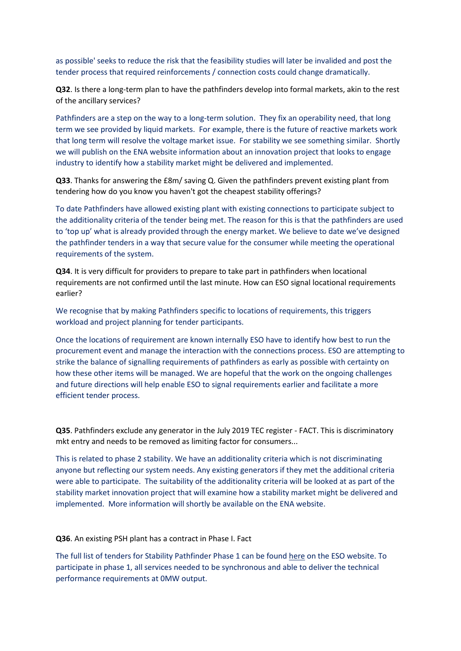as possible' seeks to reduce the risk that the feasibility studies will later be invalided and post the tender process that required reinforcements / connection costs could change dramatically.

**Q32**. Is there a long-term plan to have the pathfinders develop into formal markets, akin to the rest of the ancillary services?

Pathfinders are a step on the way to a long-term solution. They fix an operability need, that long term we see provided by liquid markets. For example, there is the future of reactive markets work that long term will resolve the voltage market issue. For stability we see something similar. Shortly we will publish on the ENA website information about an innovation project that looks to engage industry to identify how a stability market might be delivered and implemented.

**Q33**. Thanks for answering the £8m/ saving Q. Given the pathfinders prevent existing plant from tendering how do you know you haven't got the cheapest stability offerings?

To date Pathfinders have allowed existing plant with existing connections to participate subject to the additionality criteria of the tender being met. The reason for this is that the pathfinders are used to 'top up' what is already provided through the energy market. We believe to date we've designed the pathfinder tenders in a way that secure value for the consumer while meeting the operational requirements of the system.

**Q34**. It is very difficult for providers to prepare to take part in pathfinders when locational requirements are not confirmed until the last minute. How can ESO signal locational requirements earlier?

We recognise that by making Pathfinders specific to locations of requirements, this triggers workload and project planning for tender participants.

Once the locations of requirement are known internally ESO have to identify how best to run the procurement event and manage the interaction with the connections process. ESO are attempting to strike the balance of signalling requirements of pathfinders as early as possible with certainty on how these other items will be managed. We are hopeful that the work on the ongoing challenges and future directions will help enable ESO to signal requirements earlier and facilitate a more efficient tender process.

**Q35**. Pathfinders exclude any generator in the July 2019 TEC register - FACT. This is discriminatory mkt entry and needs to be removed as limiting factor for consumers...

This is related to phase 2 stability. We have an additionality criteria which is not discriminating anyone but reflecting our system needs. Any existing generators if they met the additional criteria were able to participate. The suitability of the additionality criteria will be looked at as part of the stability market innovation project that will examine how a stability market might be delivered and implemented. More information will shortly be available on the ENA website.

**Q36**. An existing PSH plant has a contract in Phase I. Fact

The full list of tenders for Stability Pathfinder Phase 1 can be found [here](https://www.nationalgrideso.com/document/185331/download) on the ESO website. To participate in phase 1, all services needed to be synchronous and able to deliver the technical performance requirements at 0MW output.